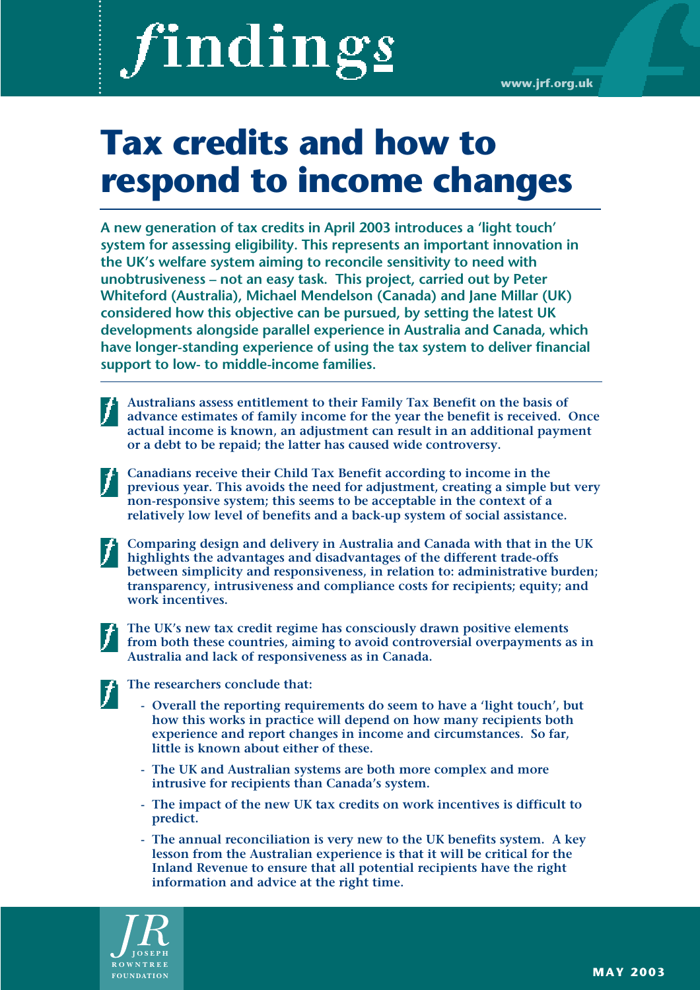# **Tax credits and how to respond to income changes**

**A new generation of tax credits in April 2003 introduces a 'light touch' system for assessing eligibility. This represents an important innovation in the UK's welfare system aiming to reconcile sensitivity to need with unobtrusiveness – not an easy task. This project, carried out by Peter Whiteford (Australia), Michael Mendelson (Canada) and Jane Millar (UK) considered how this objective can be pursued, by setting the latest UK developments alongside parallel experience in Australia and Canada, which have longer-standing experience of using the tax system to deliver financial support to low- to middle-income families.**

**Australians assess entitlement to their Family Tax Benefit on the basis of advance estimates of family income for the year the benefit is received. Once actual income is known, an adjustment can result in an additional payment or a debt to be repaid; the latter has caused wide controversy.**

- **Canadians receive their Child Tax Benefit according to income in the previous year. This avoids the need for adjustment, creating a simple but very non-responsive system; this seems to be acceptable in the context of a relatively low level of benefits and a back-up system of social assistance.** 
	- **Comparing design and delivery in Australia and Canada with that in the UK highlights the advantages and disadvantages of the different trade-offs between simplicity and responsiveness, in relation to: administrative burden; transparency, intrusiveness and compliance costs for recipients; equity; and work incentives.**

**The UK's new tax credit regime has consciously drawn positive elements from both these countries, aiming to avoid controversial overpayments as in Australia and lack of responsiveness as in Canada.** 

## **The researchers conclude that:**

- **Overall the reporting requirements do seem to have a 'light touch', but how this works in practice will depend on how many recipients both experience and report changes in income and circumstances. So far, little is known about either of these.**
- **The UK and Australian systems are both more complex and more intrusive for recipients than Canada's system.**
- **The impact of the new UK tax credits on work incentives is difficult to predict.**
- **The annual reconciliation is very new to the UK benefits system. A key lesson from the Australian experience is that it will be critical for the Inland Revenue to ensure that all potential recipients have the right information and advice at the right time.**

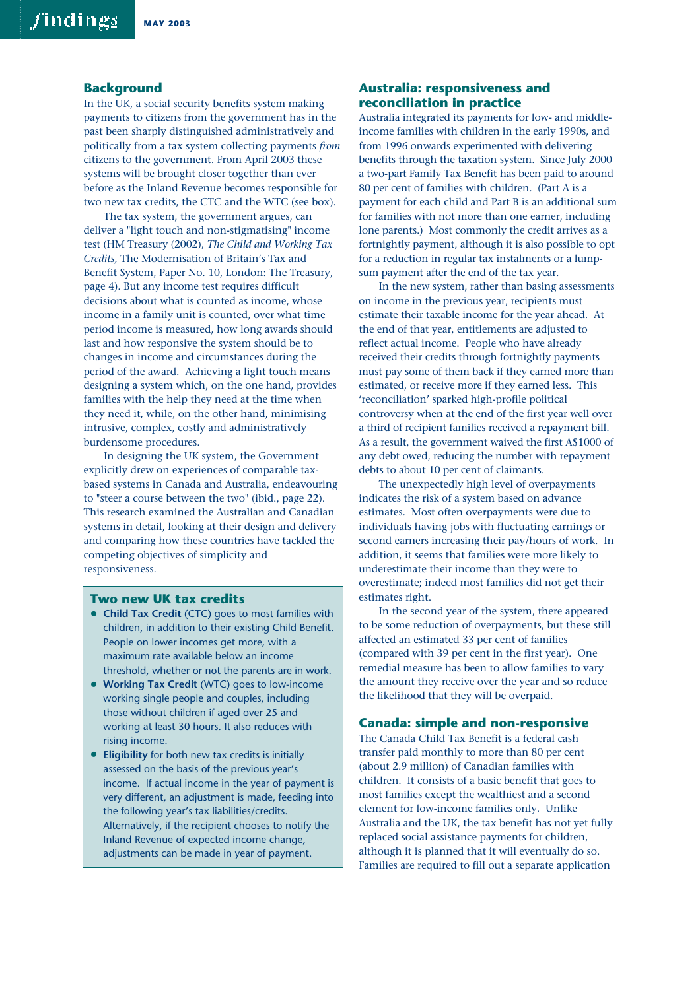#### **Background**

In the UK, a social security benefits system making payments to citizens from the government has in the past been sharply distinguished administratively and politically from a tax system collecting payments *from* citizens to the government. From April 2003 these systems will be brought closer together than ever before as the Inland Revenue becomes responsible for two new tax credits, the CTC and the WTC (see box).

The tax system, the government argues, can deliver a "light touch and non-stigmatising" income test (HM Treasury (2002), *The Child and Working Tax Credits,* The Modernisation of Britain's Tax and Benefit System, Paper No. 10, London: The Treasury, page 4). But any income test requires difficult decisions about what is counted as income, whose income in a family unit is counted, over what time period income is measured, how long awards should last and how responsive the system should be to changes in income and circumstances during the period of the award. Achieving a light touch means designing a system which, on the one hand, provides families with the help they need at the time when they need it, while, on the other hand, minimising intrusive, complex, costly and administratively burdensome procedures.

In designing the UK system, the Government explicitly drew on experiences of comparable taxbased systems in Canada and Australia, endeavouring to "steer a course between the two" (ibid., page 22). This research examined the Australian and Canadian systems in detail, looking at their design and delivery and comparing how these countries have tackled the competing objectives of simplicity and responsiveness.

#### **Two new UK tax credits**

- **Child Tax Credit** (CTC) goes to most families with children, in addition to their existing Child Benefit. People on lower incomes get more, with a maximum rate available below an income threshold, whether or not the parents are in work.
- **Working Tax Credit** (WTC) goes to low-income working single people and couples, including those without children if aged over 25 and working at least 30 hours. It also reduces with rising income.
- **Eligibility** for both new tax credits is initially assessed on the basis of the previous year's income. If actual income in the year of payment is very different, an adjustment is made, feeding into the following year's tax liabilities/credits. Alternatively, if the recipient chooses to notify the Inland Revenue of expected income change, adjustments can be made in year of payment.

## **Australia: responsiveness and reconciliation in practice**

Australia integrated its payments for low- and middleincome families with children in the early 1990s, and from 1996 onwards experimented with delivering benefits through the taxation system. Since July 2000 a two-part Family Tax Benefit has been paid to around 80 per cent of families with children. (Part A is a payment for each child and Part B is an additional sum for families with not more than one earner, including lone parents.) Most commonly the credit arrives as a fortnightly payment, although it is also possible to opt for a reduction in regular tax instalments or a lumpsum payment after the end of the tax year.

In the new system, rather than basing assessments on income in the previous year, recipients must estimate their taxable income for the year ahead. At the end of that year, entitlements are adjusted to reflect actual income. People who have already received their credits through fortnightly payments must pay some of them back if they earned more than estimated, or receive more if they earned less. This 'reconciliation' sparked high-profile political controversy when at the end of the first year well over a third of recipient families received a repayment bill. As a result, the government waived the first A\$1000 of any debt owed, reducing the number with repayment debts to about 10 per cent of claimants.

The unexpectedly high level of overpayments indicates the risk of a system based on advance estimates. Most often overpayments were due to individuals having jobs with fluctuating earnings or second earners increasing their pay/hours of work. In addition, it seems that families were more likely to underestimate their income than they were to overestimate; indeed most families did not get their estimates right.

In the second year of the system, there appeared to be some reduction of overpayments, but these still affected an estimated 33 per cent of families (compared with 39 per cent in the first year). One remedial measure has been to allow families to vary the amount they receive over the year and so reduce the likelihood that they will be overpaid.

#### **Canada: simple and non-responsive**

The Canada Child Tax Benefit is a federal cash transfer paid monthly to more than 80 per cent (about 2.9 million) of Canadian families with children. It consists of a basic benefit that goes to most families except the wealthiest and a second element for low-income families only. Unlike Australia and the UK, the tax benefit has not yet fully replaced social assistance payments for children, although it is planned that it will eventually do so. Families are required to fill out a separate application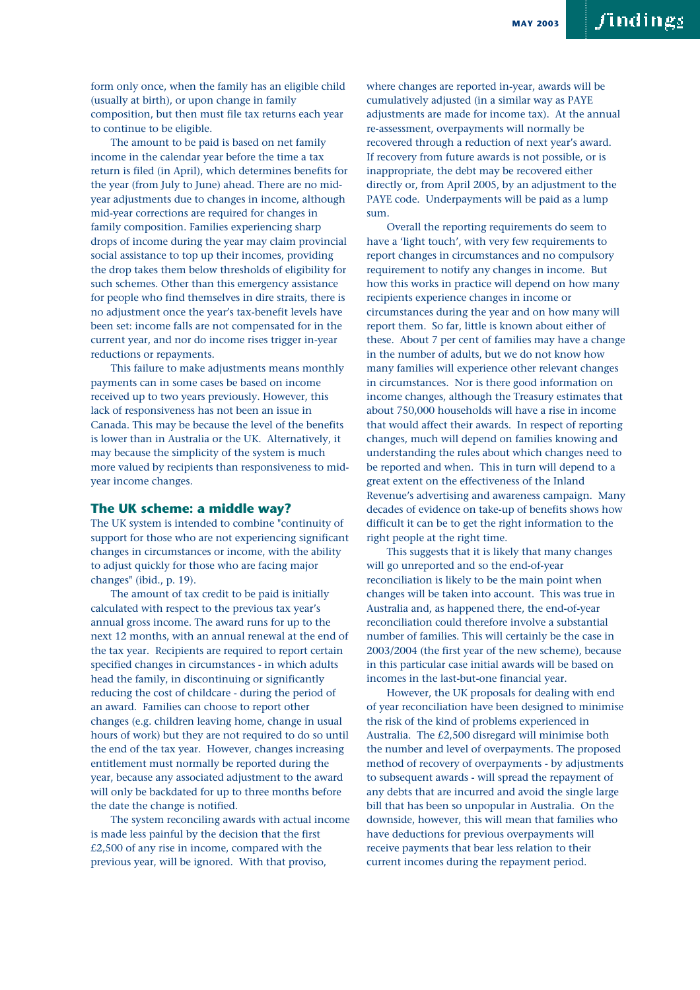form only once, when the family has an eligible child (usually at birth), or upon change in family composition, but then must file tax returns each year to continue to be eligible.

The amount to be paid is based on net family income in the calendar year before the time a tax return is filed (in April), which determines benefits for the year (from July to June) ahead. There are no midyear adjustments due to changes in income, although mid-year corrections are required for changes in family composition. Families experiencing sharp drops of income during the year may claim provincial social assistance to top up their incomes, providing the drop takes them below thresholds of eligibility for such schemes. Other than this emergency assistance for people who find themselves in dire straits, there is no adjustment once the year's tax-benefit levels have been set: income falls are not compensated for in the current year, and nor do income rises trigger in-year reductions or repayments.

This failure to make adjustments means monthly payments can in some cases be based on income received up to two years previously. However, this lack of responsiveness has not been an issue in Canada. This may be because the level of the benefits is lower than in Australia or the UK. Alternatively, it may because the simplicity of the system is much more valued by recipients than responsiveness to midyear income changes.

#### **The UK scheme: a middle way?**

The UK system is intended to combine "continuity of support for those who are not experiencing significant changes in circumstances or income, with the ability to adjust quickly for those who are facing major changes" (ibid., p. 19).

The amount of tax credit to be paid is initially calculated with respect to the previous tax year's annual gross income. The award runs for up to the next 12 months, with an annual renewal at the end of the tax year. Recipients are required to report certain specified changes in circumstances - in which adults head the family, in discontinuing or significantly reducing the cost of childcare - during the period of an award. Families can choose to report other changes (e.g. children leaving home, change in usual hours of work) but they are not required to do so until the end of the tax year. However, changes increasing entitlement must normally be reported during the year, because any associated adjustment to the award will only be backdated for up to three months before the date the change is notified.

The system reconciling awards with actual income is made less painful by the decision that the first £2,500 of any rise in income, compared with the previous year, will be ignored. With that proviso,

where changes are reported in-year, awards will be cumulatively adjusted (in a similar way as PAYE adjustments are made for income tax). At the annual re-assessment, overpayments will normally be recovered through a reduction of next year's award. If recovery from future awards is not possible, or is inappropriate, the debt may be recovered either directly or, from April 2005, by an adjustment to the PAYE code. Underpayments will be paid as a lump sum.

Overall the reporting requirements do seem to have a 'light touch', with very few requirements to report changes in circumstances and no compulsory requirement to notify any changes in income. But how this works in practice will depend on how many recipients experience changes in income or circumstances during the year and on how many will report them. So far, little is known about either of these. About 7 per cent of families may have a change in the number of adults, but we do not know how many families will experience other relevant changes in circumstances. Nor is there good information on income changes, although the Treasury estimates that about 750,000 households will have a rise in income that would affect their awards. In respect of reporting changes, much will depend on families knowing and understanding the rules about which changes need to be reported and when. This in turn will depend to a great extent on the effectiveness of the Inland Revenue's advertising and awareness campaign. Many decades of evidence on take-up of benefits shows how difficult it can be to get the right information to the right people at the right time.

This suggests that it is likely that many changes will go unreported and so the end-of-year reconciliation is likely to be the main point when changes will be taken into account. This was true in Australia and, as happened there, the end-of-year reconciliation could therefore involve a substantial number of families. This will certainly be the case in 2003/2004 (the first year of the new scheme), because in this particular case initial awards will be based on incomes in the last-but-one financial year.

However, the UK proposals for dealing with end of year reconciliation have been designed to minimise the risk of the kind of problems experienced in Australia. The £2,500 disregard will minimise both the number and level of overpayments. The proposed method of recovery of overpayments - by adjustments to subsequent awards - will spread the repayment of any debts that are incurred and avoid the single large bill that has been so unpopular in Australia. On the downside, however, this will mean that families who have deductions for previous overpayments will receive payments that bear less relation to their current incomes during the repayment period.